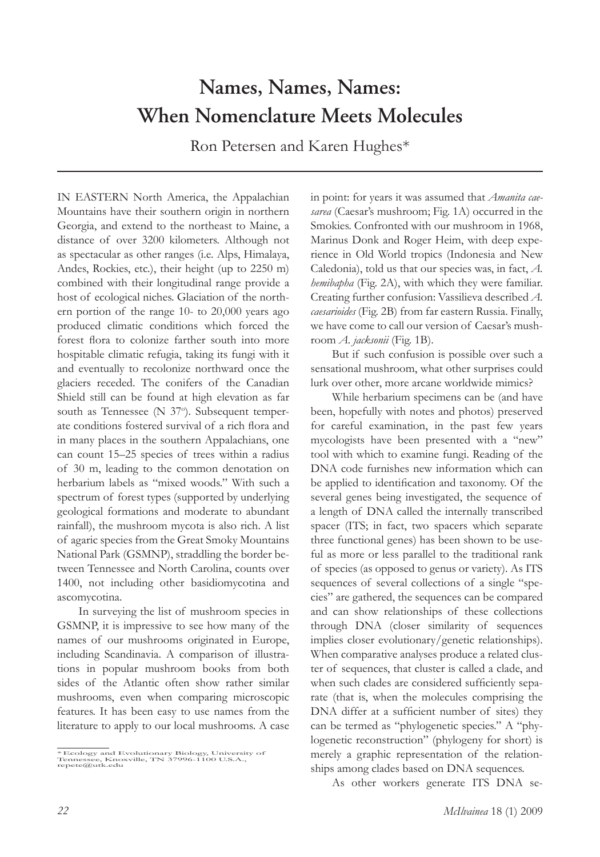## **Names, Names, Names: When Nomenclature Meets Molecules**

Ron Petersen and Karen Hughes\*

IN EASTERN North America, the Appalachian Mountains have their southern origin in northern Georgia, and extend to the northeast to Maine, a distance of over 3200 kilometers. Although not as spectacular as other ranges (i.e. Alps, Himalaya, Andes, Rockies, etc.), their height (up to 2250 m) combined with their longitudinal range provide a host of ecological niches. Glaciation of the northern portion of the range 10- to 20,000 years ago produced climatic conditions which forced the forest flora to colonize farther south into more hospitable climatic refugia, taking its fungi with it and eventually to recolonize northward once the glaciers receded. The conifers of the Canadian Shield still can be found at high elevation as far south as Tennessee (N 37°). Subsequent temperate conditions fostered survival of a rich flora and in many places in the southern Appalachians, one can count 15–25 species of trees within a radius of 30 m, leading to the common denotation on herbarium labels as "mixed woods." With such a spectrum of forest types (supported by underlying geological formations and moderate to abundant rainfall), the mushroom mycota is also rich. A list of agaric species from the Great Smoky Mountains National Park (GSMNP), straddling the border between Tennessee and North Carolina, counts over 1400, not including other basidiomycotina and ascomycotina.

 In surveying the list of mushroom species in GSMNP, it is impressive to see how many of the names of our mushrooms originated in Europe, including Scandinavia. A comparison of illustrations in popular mushroom books from both sides of the Atlantic often show rather similar mushrooms, even when comparing microscopic features. It has been easy to use names from the literature to apply to our local mushrooms. A case in point: for years it was assumed that *Amanita caesarea* (Caesar's mushroom; Fig. 1A) occurred in the Smokies. Confronted with our mushroom in 1968, Marinus Donk and Roger Heim, with deep experience in Old World tropics (Indonesia and New Caledonia), told us that our species was, in fact, *A. hemibapha* (Fig. 2A), with which they were familiar. Creating further confusion: Vassilieva described *A. caesarioides* (Fig. 2B) from far eastern Russia. Finally, we have come to call our version of Caesar's mushroom *A. jacksonii* (Fig. 1B).

 But if such confusion is possible over such a sensational mushroom, what other surprises could lurk over other, more arcane worldwide mimics?

 While herbarium specimens can be (and have been, hopefully with notes and photos) preserved for careful examination, in the past few years mycologists have been presented with a "new" tool with which to examine fungi. Reading of the DNA code furnishes new information which can be applied to identification and taxonomy. Of the several genes being investigated, the sequence of a length of DNA called the internally transcribed spacer (ITS; in fact, two spacers which separate three functional genes) has been shown to be useful as more or less parallel to the traditional rank of species (as opposed to genus or variety). As ITS sequences of several collections of a single "species" are gathered, the sequences can be compared and can show relationships of these collections through DNA (closer similarity of sequences implies closer evolutionary/genetic relationships). When comparative analyses produce a related cluster of sequences, that cluster is called a clade, and when such clades are considered sufficiently separate (that is, when the molecules comprising the DNA differ at a sufficient number of sites) they can be termed as "phylogenetic species." A "phylogenetic reconstruction" (phylogeny for short) is merely a graphic representation of the relationships among clades based on DNA sequences.

As other workers generate ITS DNA se-

<sup>\*</sup> Ecology and Evolutionary Biology, University of Tennessee, Knoxville, TN 37996-1100 U.S.A., repete@utk.edu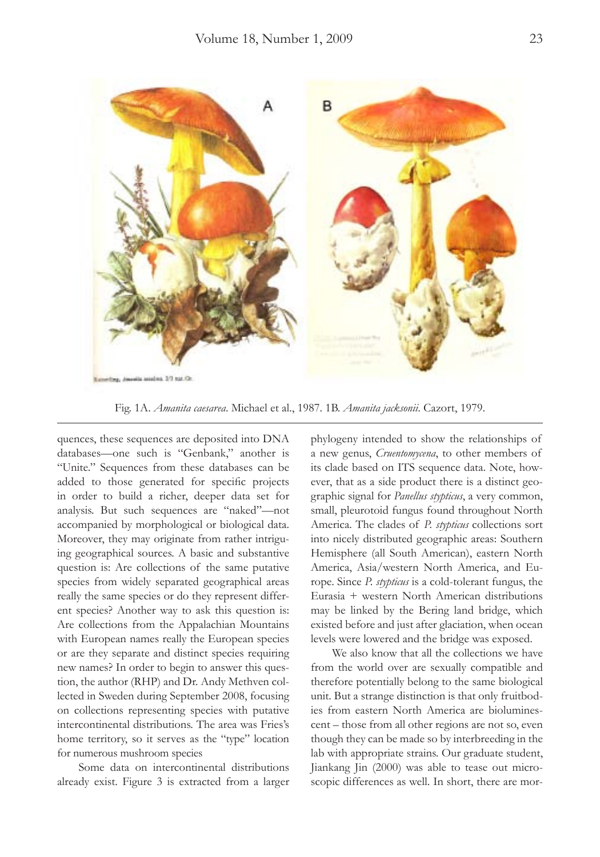

Fig. 1A. *Amanita caesarea*. Michael et al., 1987. 1B. *Amanita jacksonii*. Cazort, 1979.

quences, these sequences are deposited into DNA databases—one such is "Genbank," another is "Unite." Sequences from these databases can be added to those generated for specific projects in order to build a richer, deeper data set for analysis. But such sequences are "naked"—not accompanied by morphological or biological data. Moreover, they may originate from rather intriguing geographical sources. A basic and substantive question is: Are collections of the same putative species from widely separated geographical areas really the same species or do they represent different species? Another way to ask this question is: Are collections from the Appalachian Mountains with European names really the European species or are they separate and distinct species requiring new names? In order to begin to answer this question, the author (RHP) and Dr. Andy Methven collected in Sweden during September 2008, focusing on collections representing species with putative intercontinental distributions. The area was Fries's home territory, so it serves as the "type" location for numerous mushroom species

 Some data on intercontinental distributions already exist. Figure 3 is extracted from a larger

phylogeny intended to show the relationships of a new genus, *Cruentomycena*, to other members of its clade based on ITS sequence data. Note, however, that as a side product there is a distinct geographic signal for *Panellus stypticus*, a very common, small, pleurotoid fungus found throughout North America. The clades of *P. stypticus* collections sort into nicely distributed geographic areas: Southern Hemisphere (all South American), eastern North America, Asia/western North America, and Europe. Since *P. stypticus* is a cold-tolerant fungus, the Eurasia + western North American distributions may be linked by the Bering land bridge, which existed before and just after glaciation, when ocean levels were lowered and the bridge was exposed.

 We also know that all the collections we have from the world over are sexually compatible and therefore potentially belong to the same biological unit. But a strange distinction is that only fruitbodies from eastern North America are bioluminescent – those from all other regions are not so, even though they can be made so by interbreeding in the lab with appropriate strains. Our graduate student, Jiankang Jin (2000) was able to tease out microscopic differences as well. In short, there are mor-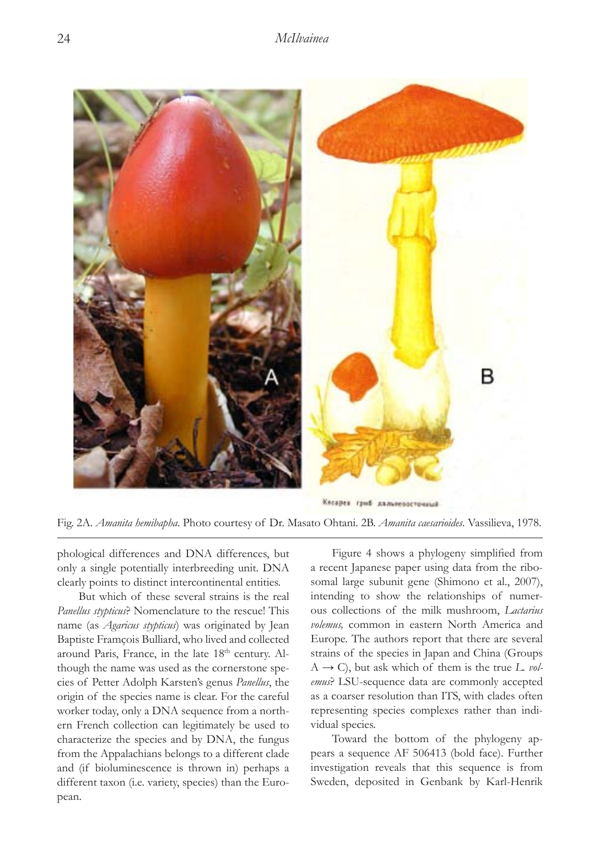

Fig. 2A. *Amanita hemibapha*. Photo courtesy of Dr. Masato Ohtani. 2B. *Amanita caesarioides*. Vassilieva, 1978.

phological differences and DNA differences, but only a single potentially interbreeding unit. DNA clearly points to distinct intercontinental entities.

 But which of these several strains is the real *Panellus stypticus*? Nomenclature to the rescue! This name (as *Agaricus stypticus*) was originated by Jean Baptiste Framçois Bulliard, who lived and collected around Paris, France, in the late  $18<sup>th</sup>$  century. Although the name was used as the cornerstone species of Petter Adolph Karsten's genus *Panellus*, the origin of the species name is clear. For the careful worker today, only a DNA sequence from a northern French collection can legitimately be used to characterize the species and by DNA, the fungus from the Appalachians belongs to a different clade and (if bioluminescence is thrown in) perhaps a different taxon (i.e. variety, species) than the European.

 Figure 4 shows a phylogeny simplified from a recent Japanese paper using data from the ribosomal large subunit gene (Shimono et al., 2007), intending to show the relationships of numerous collections of the milk mushroom, *Lactarius volemus,* common in eastern North America and Europe. The authors report that there are several strains of the species in Japan and China (Groups  $A \rightarrow C$ ), but ask which of them is the true *L. volemus*? LSU-sequence data are commonly accepted as a coarser resolution than ITS, with clades often representing species complexes rather than individual species.

 Toward the bottom of the phylogeny appears a sequence AF 506413 (bold face). Further investigation reveals that this sequence is from Sweden, deposited in Genbank by Karl-Henrik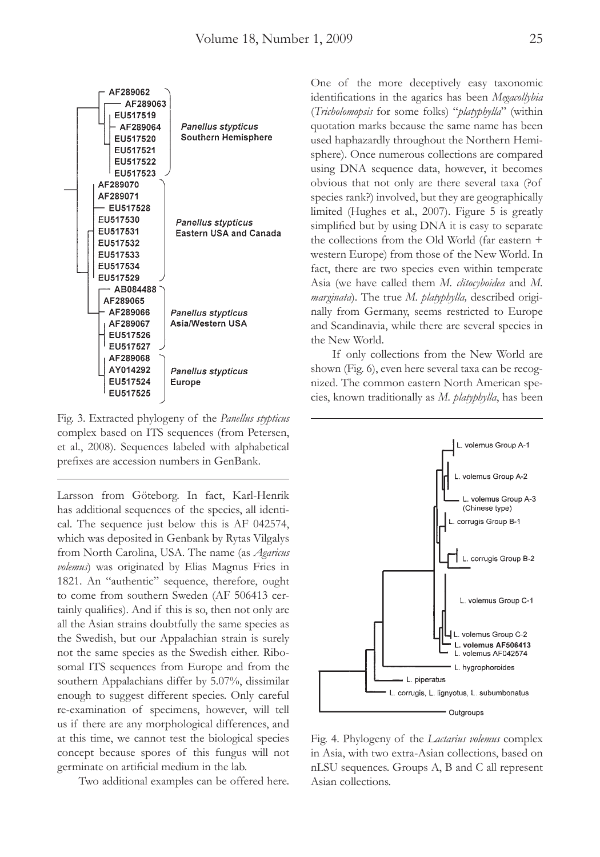

Fig. 3. Extracted phylogeny of the *Panellus stypticus* complex based on ITS sequences (from Petersen, et al., 2008). Sequences labeled with alphabetical prefixes are accession numbers in GenBank.

Larsson from Göteborg. In fact, Karl-Henrik has additional sequences of the species, all identical. The sequence just below this is AF 042574, which was deposited in Genbank by Rytas Vilgalys from North Carolina, USA. The name (as *Agaricus volemus*) was originated by Elias Magnus Fries in 1821. An "authentic" sequence, therefore, ought to come from southern Sweden (AF 506413 certainly qualifies). And if this is so, then not only are all the Asian strains doubtfully the same species as the Swedish, but our Appalachian strain is surely not the same species as the Swedish either. Ribosomal ITS sequences from Europe and from the southern Appalachians differ by 5.07%, dissimilar enough to suggest different species. Only careful re-examination of specimens, however, will tell us if there are any morphological differences, and at this time, we cannot test the biological species concept because spores of this fungus will not germinate on artificial medium in the lab.

Two additional examples can be offered here.

One of the more deceptively easy taxonomic identifications in the agarics has been *Megacollybia* (*Tricholomopsis* for some folks) "*platyphylla*" (within quotation marks because the same name has been used haphazardly throughout the Northern Hemisphere). Once numerous collections are compared using DNA sequence data, however, it becomes obvious that not only are there several taxa (?of species rank?) involved, but they are geographically limited (Hughes et al., 2007). Figure 5 is greatly simplified but by using DNA it is easy to separate the collections from the Old World (far eastern + western Europe) from those of the New World. In fact, there are two species even within temperate Asia (we have called them *M. clitocyboidea* and *M. marginata*). The true *M. platyphylla,* described originally from Germany, seems restricted to Europe and Scandinavia, while there are several species in the New World.

 If only collections from the New World are shown (Fig. 6), even here several taxa can be recognized. The common eastern North American species, known traditionally as *M. platyphylla*, has been



Fig. 4. Phylogeny of the *Lactarius volemus* complex in Asia, with two extra-Asian collections, based on nLSU sequences. Groups A, B and C all represent Asian collections.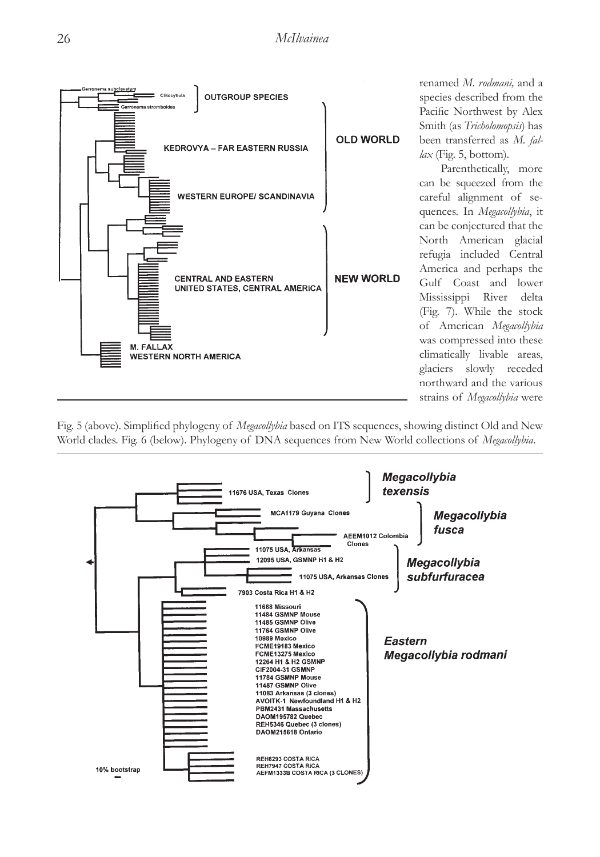

renamed *M. rodmani,* and a species described from the Pacific Northwest by Alex Smith (as *Tricholomopsis*) has been transferred as *M. fallax* (Fig. 5, bottom).

 Parenthetically, more can be squeezed from the careful alignment of sequences. In *Megacollybia*, it can be conjectured that the North American glacial refugia included Central America and perhaps the Gulf Coast and lower Mississippi River delta (Fig. 7). While the stock of American *Megacollybia* was compressed into these climatically livable areas, glaciers slowly receded northward and the various strains of *Megacollybia* were

Fig. 5 (above). Simplified phylogeny of *Megacollybia* based on ITS sequences, showing distinct Old and New World clades. Fig. 6 (below). Phylogeny of DNA sequences from New World collections of *Megacollybia*.

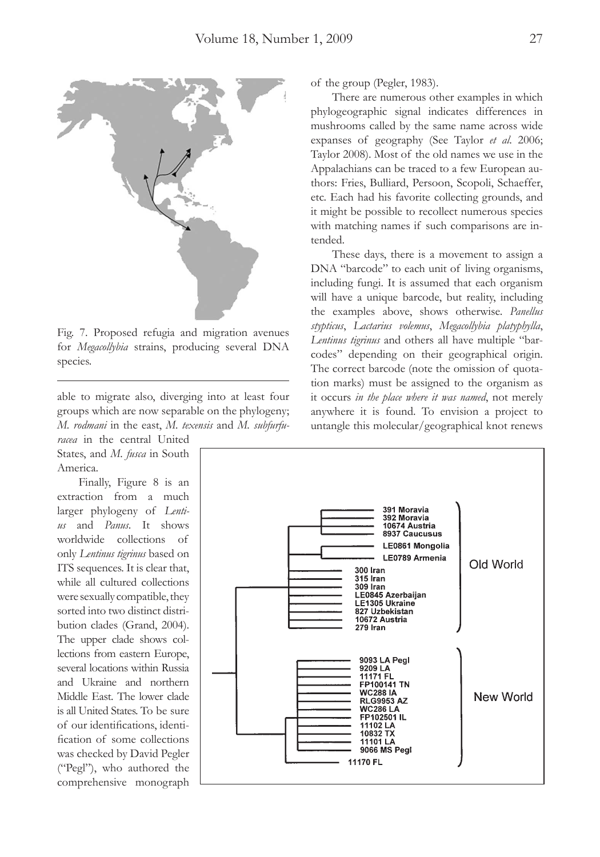

Fig. 7. Proposed refugia and migration avenues for *Megacollybia* strains, producing several DNA species.

able to migrate also, diverging into at least four groups which are now separable on the phylogeny; *M. rodmani* in the east, *M. texensis* and *M. subfurfu-*

*racea* in the central United States, and *M. fusca* in South America.

 Finally, Figure 8 is an extraction from a much larger phylogeny of *Lentius* and *Panus*. It shows worldwide collections of only *Lentinus tigrinus* based on ITS sequences. It is clear that, while all cultured collections were sexually compatible, they sorted into two distinct distribution clades (Grand, 2004). The upper clade shows collections from eastern Europe, several locations within Russia and Ukraine and northern Middle East. The lower clade is all United States. To be sure of our identifications, identification of some collections was checked by David Pegler ("Pegl"), who authored the comprehensive monograph

of the group (Pegler, 1983).

 There are numerous other examples in which phylogeographic signal indicates differences in mushrooms called by the same name across wide expanses of geography (See Taylor *et al*. 2006; Taylor 2008). Most of the old names we use in the Appalachians can be traced to a few European authors: Fries, Bulliard, Persoon, Scopoli, Schaeffer, etc. Each had his favorite collecting grounds, and it might be possible to recollect numerous species with matching names if such comparisons are intended.

 These days, there is a movement to assign a DNA "barcode" to each unit of living organisms, including fungi. It is assumed that each organism will have a unique barcode, but reality, including the examples above, shows otherwise. *Panellus stypticus*, *Lactarius volemus*, *Megacollybia platyphylla*, *Lentinus tigrinus* and others all have multiple "barcodes" depending on their geographical origin. The correct barcode (note the omission of quotation marks) must be assigned to the organism as it occurs *in the place where it was named*, not merely anywhere it is found. To envision a project to untangle this molecular/geographical knot renews